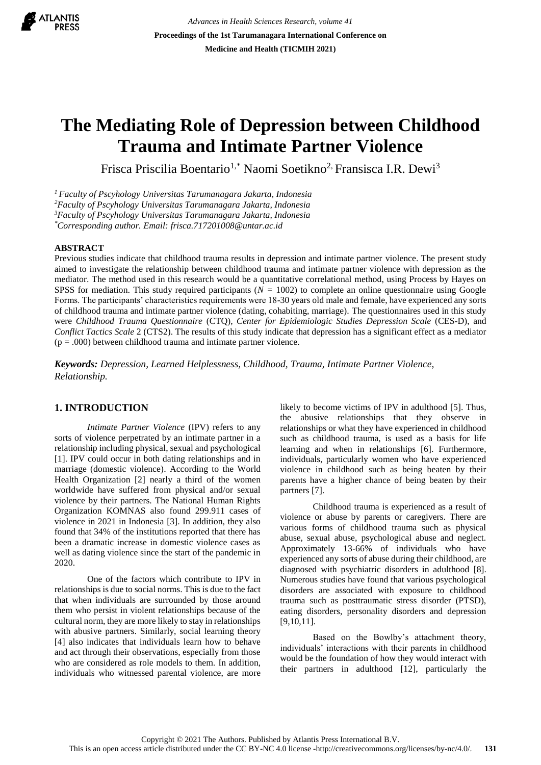

*Advances in Health Sciences Research, volume 41* **Proceedings of the 1st Tarumanagara International Conference on Medicine and Health (TICMIH 2021)**

# **The Mediating Role of Depression between Childhood Trauma and Intimate Partner Violence**

Frisca Priscilia Boentario<sup>1,\*</sup> Naomi Soetikno<sup>2,</sup> Fransisca I.R. Dewi<sup>3</sup>

*Faculty of Pscyhology Universitas Tarumanagara Jakarta, Indonesia Faculty of Pscyhology Universitas Tarumanagara Jakarta, Indonesia Faculty of Pscyhology Universitas Tarumanagara Jakarta, Indonesia \*Corresponding author. Email: frisca.717201008@untar.ac.id*

#### **ABSTRACT**

Previous studies indicate that childhood trauma results in depression and intimate partner violence. The present study aimed to investigate the relationship between childhood trauma and intimate partner violence with depression as the mediator. The method used in this research would be a quantitative correlational method, using Process by Hayes on SPSS for mediation. This study required participants (*N =* 1002) to complete an online questionnaire using Google Forms. The participants' characteristics requirements were 18-30 years old male and female, have experienced any sorts of childhood trauma and intimate partner violence (dating, cohabiting, marriage). The questionnaires used in this study were *Childhood Trauma Questionnaire* (CTQ), *Center for Epidemiologic Studies Depression Scale* (CES-D), and *Conflict Tactics Scale 2* (CTS2). The results of this study indicate that depression has a significant effect as a mediator  $(p = .000)$  between childhood trauma and intimate partner violence.

*Keywords: Depression, Learned Helplessness, Childhood, Trauma, Intimate Partner Violence, Relationship.*

## **1. INTRODUCTION**

*Intimate Partner Violence* (IPV) refers to any sorts of violence perpetrated by an intimate partner in a relationship including physical, sexual and psychological [1]. IPV could occur in both dating relationships and in marriage (domestic violence). According to the World Health Organization [2] nearly a third of the women worldwide have suffered from physical and/or sexual violence by their partners. The National Human Rights Organization KOMNAS also found 299.911 cases of violence in 2021 in Indonesia [3]. In addition, they also found that 34% of the institutions reported that there has been a dramatic increase in domestic violence cases as well as dating violence since the start of the pandemic in 2020.

One of the factors which contribute to IPV in relationships is due to social norms. This is due to the fact that when individuals are surrounded by those around them who persist in violent relationships because of the cultural norm, they are more likely to stay in relationships with abusive partners. Similarly, social learning theory [4] also indicates that individuals learn how to behave and act through their observations, especially from those who are considered as role models to them. In addition, individuals who witnessed parental violence, are more likely to become victims of IPV in adulthood [5]. Thus, the abusive relationships that they observe in relationships or what they have experienced in childhood such as childhood trauma, is used as a basis for life learning and when in relationships [6]. Furthermore, individuals, particularly women who have experienced violence in childhood such as being beaten by their parents have a higher chance of being beaten by their partners [7].

Childhood trauma is experienced as a result of violence or abuse by parents or caregivers. There are various forms of childhood trauma such as physical abuse, sexual abuse, psychological abuse and neglect. Approximately 13-66% of individuals who have experienced any sorts of abuse during their childhood, are diagnosed with psychiatric disorders in adulthood [8]. Numerous studies have found that various psychological disorders are associated with exposure to childhood trauma such as posttraumatic stress disorder (PTSD), eating disorders, personality disorders and depression [9,10,11].

Based on the Bowlby's attachment theory, individuals' interactions with their parents in childhood would be the foundation of how they would interact with their partners in adulthood [12], particularly the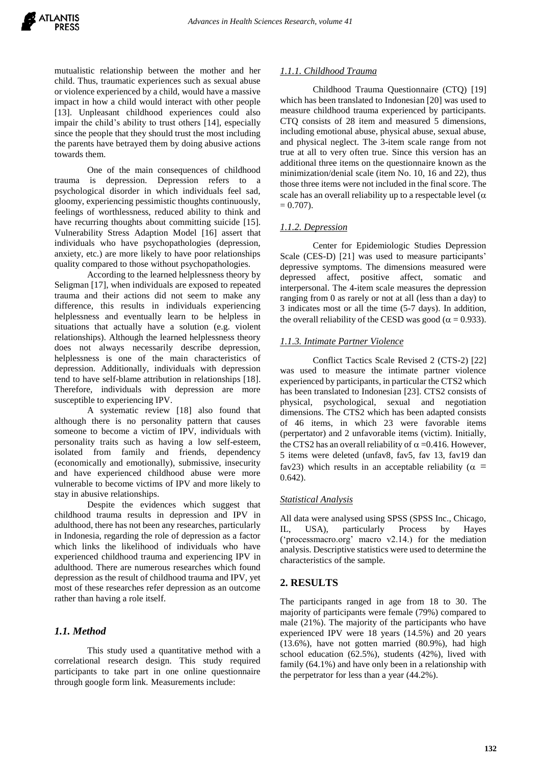mutualistic relationship between the mother and her child. Thus, traumatic experiences such as sexual abuse or violence experienced by a child, would have a massive impact in how a child would interact with other people [13]. Unpleasant childhood experiences could also impair the child's ability to trust others [14], especially since the people that they should trust the most including the parents have betrayed them by doing abusive actions towards them.

One of the main consequences of childhood trauma is depression. Depression refers to a psychological disorder in which individuals feel sad, gloomy, experiencing pessimistic thoughts continuously, feelings of worthlessness, reduced ability to think and have recurring thoughts about committing suicide [15]. Vulnerability Stress Adaption Model [16] assert that individuals who have psychopathologies (depression, anxiety, etc.) are more likely to have poor relationships quality compared to those without psychopathologies.

According to the learned helplessness theory by Seligman [17], when individuals are exposed to repeated trauma and their actions did not seem to make any difference, this results in individuals experiencing helplessness and eventually learn to be helpless in situations that actually have a solution (e.g. violent relationships). Although the learned helplessness theory does not always necessarily describe depression, helplessness is one of the main characteristics of depression. Additionally, individuals with depression tend to have self-blame attribution in relationships [18]. Therefore, individuals with depression are more susceptible to experiencing IPV.

A systematic review [18] also found that although there is no personality pattern that causes someone to become a victim of IPV, individuals with personality traits such as having a low self-esteem, isolated from family and friends, dependency (economically and emotionally), submissive, insecurity and have experienced childhood abuse were more vulnerable to become victims of IPV and more likely to stay in abusive relationships.

Despite the evidences which suggest that childhood trauma results in depression and IPV in adulthood, there has not been any researches, particularly in Indonesia, regarding the role of depression as a factor which links the likelihood of individuals who have experienced childhood trauma and experiencing IPV in adulthood. There are numerous researches which found depression as the result of childhood trauma and IPV, yet most of these researches refer depression as an outcome rather than having a role itself.

# *1.1. Method*

This study used a quantitative method with a correlational research design. This study required participants to take part in one online questionnaire through google form link. Measurements include:

#### *1.1.1. Childhood Trauma*

Childhood Trauma Questionnaire (CTQ) [19] which has been translated to Indonesian [20] was used to measure childhood trauma experienced by participants. CTQ consists of 28 item and measured 5 dimensions, including emotional abuse, physical abuse, sexual abuse, and physical neglect. The 3-item scale range from not true at all to very often true. Since this version has an additional three items on the questionnaire known as the minimization/denial scale (item No. 10, 16 and 22), thus those three items were not included in the final score. The scale has an overall reliability up to a respectable level  $(\alpha)$  $= 0.707$ .

# *1.1.2. Depression*

Center for Epidemiologic Studies Depression Scale (CES-D) [21] was used to measure participants' depressive symptoms. The dimensions measured were depressed affect, positive affect, somatic and interpersonal. The 4-item scale measures the depression ranging from 0 as rarely or not at all (less than a day) to 3 indicates most or all the time (5-7 days). In addition, the overall reliability of the CESD was good ( $\alpha$  = 0.933).

## *1.1.3. Intimate Partner Violence*

Conflict Tactics Scale Revised 2 (CTS-2) [22] was used to measure the intimate partner violence experienced by participants, in particular the CTS2 which has been translated to Indonesian [23]. CTS2 consists of physical, psychological, sexual and negotiation dimensions. The CTS2 which has been adapted consists of 46 items, in which 23 were favorable items (perpertator) and 2 unfavorable items (victim). Initially, the CTS2 has an overall reliability of  $\alpha = 0.416$ . However, 5 items were deleted (unfav8, fav5, fav 13, fav19 dan fav23) which results in an acceptable reliability ( $\alpha$  = 0.642).

## *Statistical Analysis*

All data were analysed using SPSS (SPSS Inc., Chicago, IL, USA), particularly Process by Hayes ('processmacro.org' macro v2.14.) for the mediation analysis. Descriptive statistics were used to determine the characteristics of the sample.

## **2. RESULTS**

The participants ranged in age from 18 to 30. The majority of participants were female (79%) compared to male (21%). The majority of the participants who have experienced IPV were 18 years (14.5%) and 20 years (13.6%), have not gotten married (80.9%), had high school education (62.5%), students (42%), lived with family (64.1%) and have only been in a relationship with the perpetrator for less than a year (44.2%).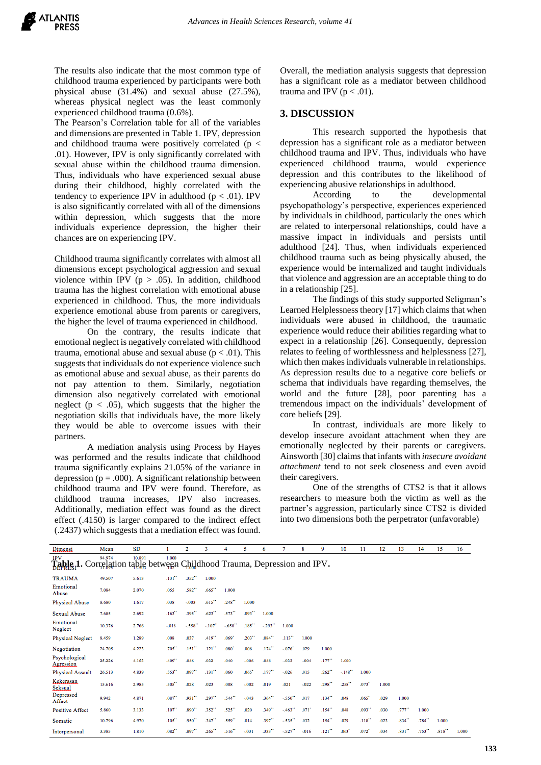The results also indicate that the most common type of childhood trauma experienced by participants were both physical abuse (31.4%) and sexual abuse (27.5%), whereas physical neglect was the least commonly experienced childhood trauma (0.6%).

The Pearson's Correlation table for all of the variables and dimensions are presented in Table 1. IPV, depression and childhood trauma were positively correlated ( $p <$ .01). However, IPV is only significantly correlated with sexual abuse within the childhood trauma dimension. Thus, individuals who have experienced sexual abuse during their childhood, highly correlated with the tendency to experience IPV in adulthood ( $p < .01$ ). IPV is also significantly correlated with all of the dimensions within depression, which suggests that the more individuals experience depression, the higher their chances are on experiencing IPV.

Childhood trauma significantly correlates with almost all dimensions except psychological aggression and sexual violence within IPV ( $p > .05$ ). In addition, childhood trauma has the highest correlation with emotional abuse experienced in childhood. Thus, the more individuals experience emotional abuse from parents or caregivers, the higher the level of trauma experienced in childhood.

On the contrary, the results indicate that emotional neglect is negatively correlated with childhood trauma, emotional abuse and sexual abuse ( $p < .01$ ). This suggests that individuals do not experience violence such as emotional abuse and sexual abuse, as their parents do not pay attention to them. Similarly, negotiation dimension also negatively correlated with emotional neglect ( $p < .05$ ), which suggests that the higher the negotiation skills that individuals have, the more likely they would be able to overcome issues with their partners.

A mediation analysis using Process by Hayes was performed and the results indicate that childhood trauma significantly explains 21.05% of the variance in depression ( $p = .000$ ). A significant relationship between childhood trauma and IPV were found. Therefore, as childhood trauma increases, IPV also increases. Additionally, mediation effect was found as the direct effect (.4150) is larger compared to the indirect effect (.2437) which suggests that a mediation effect was found.

Overall, the mediation analysis suggests that depression has a significant role as a mediator between childhood trauma and IPV ( $p < .01$ ).

#### **3. DISCUSSION**

This research supported the hypothesis that depression has a significant role as a mediator between childhood trauma and IPV. Thus, individuals who have experienced childhood trauma, would experience depression and this contributes to the likelihood of experiencing abusive relationships in adulthood.<br>According to the develo

to the developmental psychopathology's perspective, experiences experienced by individuals in childhood, particularly the ones which are related to interpersonal relationships, could have a massive impact in individuals and persists until adulthood [24]. Thus, when individuals experienced childhood trauma such as being physically abused, the experience would be internalized and taught individuals that violence and aggression are an acceptable thing to do in a relationship [25].

The findings of this study supported Seligman's Learned Helplessness theory [17] which claims that when individuals were abused in childhood, the traumatic experience would reduce their abilities regarding what to expect in a relationship [26]. Consequently, depression relates to feeling of worthlessness and helplessness [27], which then makes individuals vulnerable in relationships. As depression results due to a negative core beliefs or schema that individuals have regarding themselves, the world and the future [28], poor parenting has a tremendous impact on the individuals' development of core beliefs [29].

In contrast, individuals are more likely to develop insecure avoidant attachment when they are emotionally neglected by their parents or caregivers. Ainsworth [30] claims that infants with *insecure avoidant attachment* tend to not seek closeness and even avoid their caregivers.

One of the strengths of CTS2 is that it allows researchers to measure both the victim as well as the partner's aggression, particularly since CTS2 is divided into two dimensions both the perpetrator (unfavorable)

| Dimensi                                                                                                              | Mean   | SD    |                      | 2                    | 3                    | 4                    | 5                    | 6                    |                      | 8                   | 9                    | 10     | 11                  | 12    | 13                   | 14                   | 15    | 16    |
|----------------------------------------------------------------------------------------------------------------------|--------|-------|----------------------|----------------------|----------------------|----------------------|----------------------|----------------------|----------------------|---------------------|----------------------|--------|---------------------|-------|----------------------|----------------------|-------|-------|
| <b>IPV</b><br>1.000<br>94.974<br>10.891<br>Table, 1. Correlation table between Childhood Trauma, Depression and IPV. |        |       |                      |                      |                      |                      |                      |                      |                      |                     |                      |        |                     |       |                      |                      |       |       |
| <b>TRAUMA</b>                                                                                                        | 49.507 | 5.613 | .131''               | .352"                | 1.000                |                      |                      |                      |                      |                     |                      |        |                     |       |                      |                      |       |       |
| Emotional<br>Abuse                                                                                                   | 7.084  | 2.070 | .055                 | .582"*               | $.665$ <sup>**</sup> | 1.000                |                      |                      |                      |                     |                      |        |                     |       |                      |                      |       |       |
| Physical Abuse                                                                                                       | 8.680  | 1.617 | .038                 | $-0.003$             | .615'''              | 248"                 | 1.000                |                      |                      |                     |                      |        |                     |       |                      |                      |       |       |
| Sexual Abuse                                                                                                         | 7.685  | 2.692 | .163''               | .395"*               | .623                 | $.573$ **            | .093                 | 1.000                |                      |                     |                      |        |                     |       |                      |                      |       |       |
| Emotional<br>Neglect                                                                                                 | 10.376 | 2.766 | $-018$               | $-558$               | $-.107"$             | $-650$               | $.185$ <sup>**</sup> | $-293"$              | 1.000                |                     |                      |        |                     |       |                      |                      |       |       |
| <b>Physical Neglect</b>                                                                                              | 8.459  | 1.289 | .008                 | .037                 | $.419$ <sup>**</sup> | .069'                | $.203$ <sup>**</sup> | .084                 | .113                 | 1.000               |                      |        |                     |       |                      |                      |       |       |
| Negotiation                                                                                                          | 24.705 | 4.223 | $.705$ <sup>**</sup> | $.151$ <sup>**</sup> | .121''               | 080                  | .006                 | $.174$ <sup>**</sup> | $-076$               | .029                | 1.000                |        |                     |       |                      |                      |       |       |
| Psychological<br>Agression                                                                                           | 25.226 | 4.153 | .409"*               | .046                 | .032                 | .040                 | $-0.06$              | .048                 | $-033$               | $-0.004$            | $.177$ <sup>**</sup> | 1.000  |                     |       |                      |                      |       |       |
| Physical Assault                                                                                                     | 26.513 | 4.839 | .553**               | $.097$ <sup>**</sup> | $.131$ <sup>**</sup> | .060                 | .065''               | .177''               | $-0.026$             | .015                | .262                 | $-148$ | 1.000               |       |                      |                      |       |       |
| Kekerasan<br>Seksual                                                                                                 | 15.616 | 2.985 | .505"*               | .028                 | .023                 | .008                 | $-002$               | .019                 | .021                 | $-022$              | .298"*               | 258"   | $.073$ <sup>*</sup> | 1.000 |                      |                      |       |       |
| Depressed<br>Affect                                                                                                  | 9.942  | 4.871 | .087''               | $.931$ "             | .297                 | .544"                | $-043$               | 364"                 | $-550$ <sup>**</sup> | .017                | $.134$ <sup>**</sup> | .048   | .065''              | .029  | 1.000                |                      |       |       |
| <b>Positive Affect</b>                                                                                               | 5.860  | 3.133 | .107''               | .890"                | $.352$ <sup>**</sup> | .525**               | .020                 | .349"                | $-463$               | $.071$ <sup>*</sup> | $.154$ <sup>**</sup> | .048   | .093                | .030  | $.777$ **            | 1.000                |       |       |
| Somatic                                                                                                              | 10.796 | 4.970 | $.105$ <sup>**</sup> | .950                 | .347"                | .559**               | .014                 | .397"                | $-535"$              | .032                | $.154$ <sup>**</sup> | .029   | .118''              | .023  | .834**               | $.784$ <sup>**</sup> | 1.000 |       |
| Interpersonal                                                                                                        | 3.385  | 1.810 | $.082$ <sup>**</sup> | .897**               | .265                 | $.516$ <sup>**</sup> | $-031$               | .333**               | $-527"$              | $-0.016$            | .121''               | .063'  | .072                | .034  | $.831$ <sup>**</sup> | .753"                | .818  | 1.000 |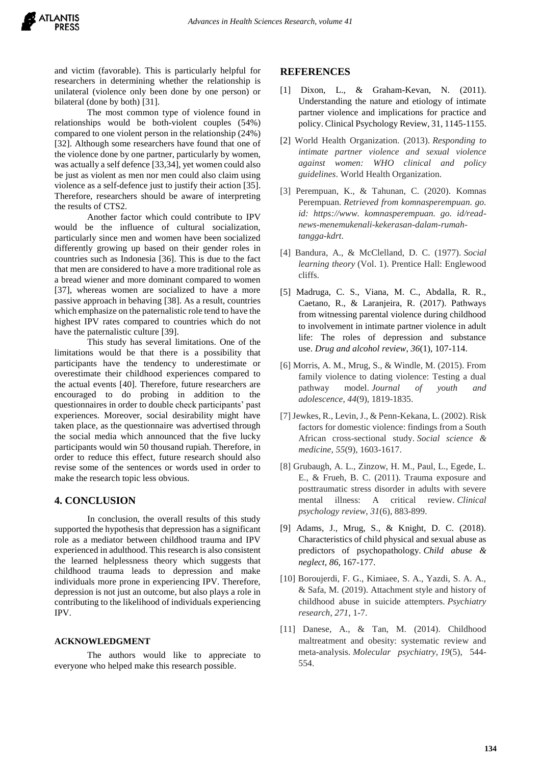and victim (favorable). This is particularly helpful for researchers in determining whether the relationship is unilateral (violence only been done by one person) or bilateral (done by both) [31].

The most common type of violence found in relationships would be both-violent couples (54%) compared to one violent person in the relationship (24%) [32]. Although some researchers have found that one of the violence done by one partner, particularly by women, was actually a self defence [33,34], yet women could also be just as violent as men nor men could also claim using violence as a self-defence just to justify their action [35]. Therefore, researchers should be aware of interpreting the results of CTS2.

Another factor which could contribute to IPV would be the influence of cultural socialization, particularly since men and women have been socialized differently growing up based on their gender roles in countries such as Indonesia [36]. This is due to the fact that men are considered to have a more traditional role as a bread wiener and more dominant compared to women [37], whereas women are socialized to have a more passive approach in behaving [38]. As a result, countries which emphasize on the paternalistic role tend to have the highest IPV rates compared to countries which do not have the paternalistic culture [39].

This study has several limitations. One of the limitations would be that there is a possibility that participants have the tendency to underestimate or overestimate their childhood experiences compared to the actual events [40]. Therefore, future researchers are encouraged to do probing in addition to the questionnaires in order to double check participants' past experiences. Moreover, social desirability might have taken place, as the questionnaire was advertised through the social media which announced that the five lucky participants would win 50 thousand rupiah. Therefore, in order to reduce this effect, future research should also revise some of the sentences or words used in order to make the research topic less obvious.

# **4. CONCLUSION**

In conclusion, the overall results of this study supported the hypothesis that depression has a significant role as a mediator between childhood trauma and IPV experienced in adulthood. This research is also consistent the learned helplessness theory which suggests that childhood trauma leads to depression and make individuals more prone in experiencing IPV. Therefore, depression is not just an outcome, but also plays a role in contributing to the likelihood of individuals experiencing IPV.

#### **ACKNOWLEDGMENT**

The authors would like to appreciate to everyone who helped make this research possible.

#### **REFERENCES**

- [1] Dixon, L., & Graham-Kevan, N. (2011). Understanding the nature and etiology of intimate partner violence and implications for practice and policy. Clinical Psychology Review, 31, 1145-1155.
- [2] World Health Organization. (2013). *Responding to intimate partner violence and sexual violence against women: WHO clinical and policy guidelines*. World Health Organization.
- [3] Perempuan, K., & Tahunan, C. (2020). Komnas Perempuan. *Retrieved from komnasperempuan. go. id: https://www. komnasperempuan. go. id/readnews-menemukenali-kekerasan-dalam-rumahtangga-kdrt*.
- [4] Bandura, A., & McClelland, D. C. (1977). *Social learning theory* (Vol. 1). Prentice Hall: Englewood cliffs.
- [5] Madruga, C. S., Viana, M. C., Abdalla, R. R., Caetano, R., & Laranjeira, R. (2017). Pathways from witnessing parental violence during childhood to involvement in intimate partner violence in adult life: The roles of depression and substance use. *Drug and alcohol review*, *36*(1), 107-114.
- [6] Morris, A. M., Mrug, S., & Windle, M. (2015). From family violence to dating violence: Testing a dual pathway model. *Journal of youth and adolescence*, *44*(9), 1819-1835.
- [7] Jewkes, R., Levin, J., & Penn-Kekana, L. (2002). Risk factors for domestic violence: findings from a South African cross-sectional study. *Social science & medicine*, *55*(9), 1603-1617.
- [8] Grubaugh, A. L., Zinzow, H. M., Paul, L., Egede, L. E., & Frueh, B. C. (2011). Trauma exposure and posttraumatic stress disorder in adults with severe mental illness: A critical review. *Clinical psychology review*, *31*(6), 883-899.
- [9] Adams, J., Mrug, S., & Knight, D. C. (2018). Characteristics of child physical and sexual abuse as predictors of psychopathology. *Child abuse & neglect*, *86*, 167-177.
- [10] Boroujerdi, F. G., Kimiaee, S. A., Yazdi, S. A. A., & Safa, M. (2019). Attachment style and history of childhood abuse in suicide attempters. *Psychiatry research*, *271*, 1-7.
- [11] Danese, A., & Tan, M. (2014). Childhood maltreatment and obesity: systematic review and meta-analysis. *Molecular psychiatry*, *19*(5), 544- 554.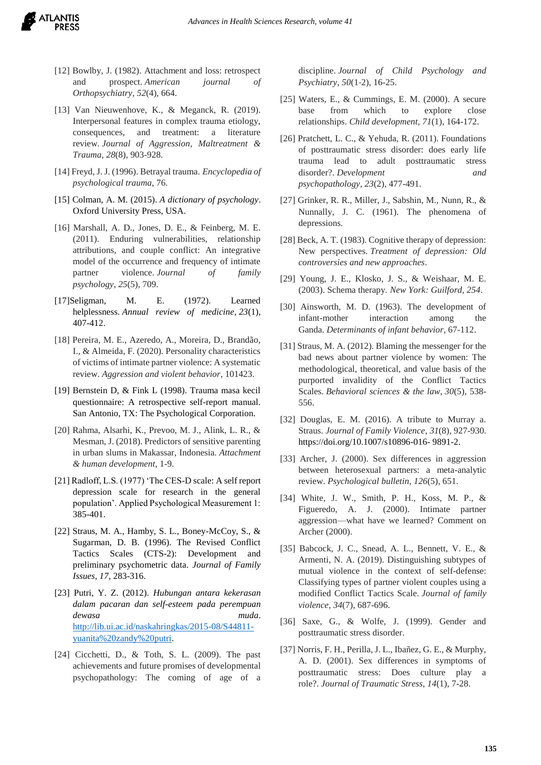

- [12] Bowlby, J. (1982). Attachment and loss: retrospect and prospect. *American journal of Orthopsychiatry*, *52*(4), 664.
- [13] Van Nieuwenhove, K., & Meganck, R. (2019). Interpersonal features in complex trauma etiology, consequences, and treatment: a literature review. *Journal of Aggression, Maltreatment & Trauma*, *28*(8), 903-928.
- [14] Freyd, J. J. (1996). Betrayal trauma. *Encyclopedia of psychological trauma*, 76.
- [15] Colman, A. M. (2015). *A dictionary of psychology*. Oxford University Press, USA.
- [16] Marshall, A. D., Jones, D. E., & Feinberg, M. E. (2011). Enduring vulnerabilities, relationship attributions, and couple conflict: An integrative model of the occurrence and frequency of intimate partner violence. *Journal of family psychology*, *25*(5), 709.
- [17]Seligman, M. E. (1972). Learned helplessness. *Annual review of medicine*, *23*(1), 407-412.
- [18] Pereira, M. E., Azeredo, A., Moreira, D., Brandão, I., & Almeida, F. (2020). Personality characteristics of victims of intimate partner violence: A systematic review. *Aggression and violent behavior*, 101423.
- [19] Bernstein D, & Fink L (1998). Trauma masa kecil questionnaire: A retrospective self-report manual. San Antonio, TX: The Psychological Corporation.
- [20] Rahma, Alsarhi, K., Prevoo, M. J., Alink, L. R., & Mesman, J. (2018). Predictors of sensitive parenting in urban slums in Makassar, Indonesia. *Attachment & human development*, 1-9.
- [21] Radloff, L.S. (1977) 'The CES-D scale: A self report depression scale for research in the general population'. Applied Psychological Measurement 1: 385-401.
- [22] Straus, M. A., Hamby, S. L., Boney-McCoy, S., & Sugarman, D. B. (1996). The Revised Conflict Tactics Scales (CTS-2): Development and preliminary psychometric data. *Journal of Family Issues*, *17*, 283-316.
- [23] Putri, Y. Z. (2012). *Hubungan antara kekerasan dalam pacaran dan self-esteem pada perempuan dewasa muda*. [http://lib.ui.ac.id/naskahringkas/2015-08/S44811](http://lib.ui.ac.id/naskahringkas/2015-08/S44811-yuanita%20zandy%20putri) [yuanita%20zandy%20putri.](http://lib.ui.ac.id/naskahringkas/2015-08/S44811-yuanita%20zandy%20putri)
- [24] Cicchetti, D., & Toth, S. L. (2009). The past achievements and future promises of developmental psychopathology: The coming of age of a

discipline. *Journal of Child Psychology and Psychiatry*, *50*(1‐2), 16-25.

- [25] Waters, E., & Cummings, E. M. (2000). A secure base from which to explore close relationships. *Child development*, *71*(1), 164-172.
- [26] Pratchett, L. C., & Yehuda, R. (2011). Foundations of posttraumatic stress disorder: does early life trauma lead to adult posttraumatic stress disorder?. *Development and psychopathology*, *23*(2), 477-491.
- [27] Grinker, R. R., Miller, J., Sabshin, M., Nunn, R., & Nunnally, J. C. (1961). The phenomena of depressions.
- [28] Beck, A. T. (1983). Cognitive therapy of depression: New perspectives. *Treatment of depression: Old controversies and new approaches*.
- [29] Young, J. E., Klosko, J. S., & Weishaar, M. E. (2003). Schema therapy. *New York: Guilford*, *254*.
- [30] Ainsworth, M. D. (1963). The development of infant-mother interaction among the Ganda. *Determinants of infant behavior*, 67-112.
- [31] Straus, M. A. (2012). Blaming the messenger for the bad news about partner violence by women: The methodological, theoretical, and value basis of the purported invalidity of the Conflict Tactics Scales. *Behavioral sciences & the law*, *30*(5), 538- 556.
- [32] Douglas, E. M. (2016). A tribute to Murray a. Straus. *Journal of Family Violence*, *31*(8), 927-930. https://doi.org/10.1007/s10896-016- 9891-2.
- [33] Archer, J. (2000). Sex differences in aggression between heterosexual partners: a meta-analytic review. *Psychological bulletin*, *126*(5), 651.
- [34] White, J. W., Smith, P. H., Koss, M. P., & Figueredo, A. J. (2000). Intimate partner aggression—what have we learned? Comment on Archer (2000).
- [35] Babcock, J. C., Snead, A. L., Bennett, V. E., & Armenti, N. A. (2019). Distinguishing subtypes of mutual violence in the context of self-defense: Classifying types of partner violent couples using a modified Conflict Tactics Scale. *Journal of family violence*, *34*(7), 687-696.
- [36] Saxe, G., & Wolfe, J. (1999). Gender and posttraumatic stress disorder.
- [37] Norris, F. H., Perilla, J. L., Ibañez, G. E., & Murphy, A. D. (2001). Sex differences in symptoms of posttraumatic stress: Does culture play a role?. *Journal of Traumatic Stress*, *14*(1), 7-28.